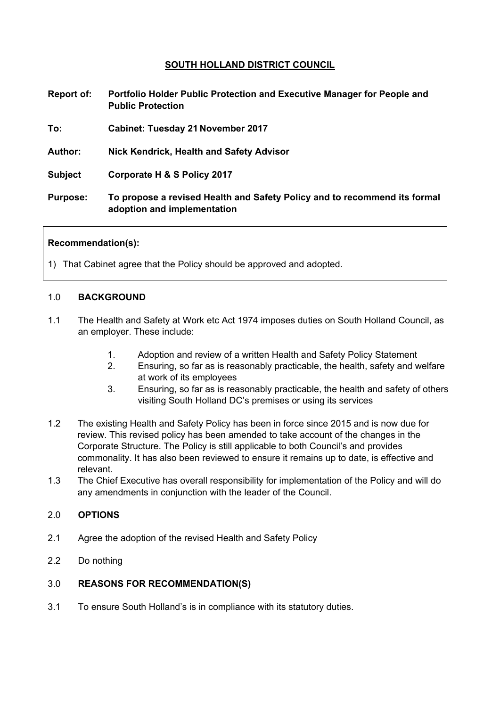# **SOUTH HOLLAND DISTRICT COUNCIL**

| Report of:      | Portfolio Holder Public Protection and Executive Manager for People and<br><b>Public Protection</b>      |
|-----------------|----------------------------------------------------------------------------------------------------------|
| To:             | <b>Cabinet: Tuesday 21 November 2017</b>                                                                 |
| <b>Author:</b>  | Nick Kendrick, Health and Safety Advisor                                                                 |
| <b>Subject</b>  | Corporate H & S Policy 2017                                                                              |
| <b>Purpose:</b> | To propose a revised Health and Safety Policy and to recommend its formal<br>adoption and implementation |

## **Recommendation(s):**

1) That Cabinet agree that the Policy should be approved and adopted.

#### 1.0 **BACKGROUND**

- 1.1 The Health and Safety at Work etc Act 1974 imposes duties on South Holland Council, as an employer. These include:
	- 1. Adoption and review of a written Health and Safety Policy Statement
	- 2. Ensuring, so far as is reasonably practicable, the health, safety and welfare at work of its employees
	- 3. Ensuring, so far as is reasonably practicable, the health and safety of others visiting South Holland DC's premises or using its services
- 1.2 The existing Health and Safety Policy has been in force since 2015 and is now due for review. This revised policy has been amended to take account of the changes in the Corporate Structure. The Policy is still applicable to both Council's and provides commonality. It has also been reviewed to ensure it remains up to date, is effective and relevant.
- 1.3 The Chief Executive has overall responsibility for implementation of the Policy and will do any amendments in conjunction with the leader of the Council.

## 2.0 **OPTIONS**

- 2.1 Agree the adoption of the revised Health and Safety Policy
- 2.2 Do nothing

## 3.0 **REASONS FOR RECOMMENDATION(S)**

3.1 To ensure South Holland's is in compliance with its statutory duties.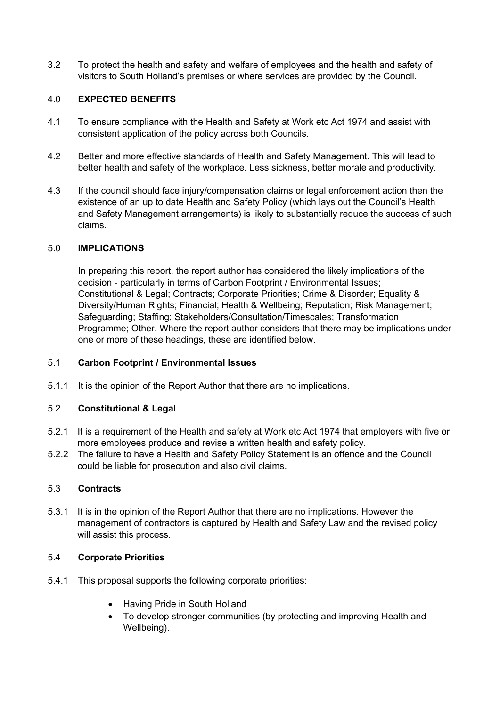3.2 To protect the health and safety and welfare of employees and the health and safety of visitors to South Holland's premises or where services are provided by the Council.

# 4.0 **EXPECTED BENEFITS**

- 4.1 To ensure compliance with the Health and Safety at Work etc Act 1974 and assist with consistent application of the policy across both Councils.
- 4.2 Better and more effective standards of Health and Safety Management. This will lead to better health and safety of the workplace. Less sickness, better morale and productivity.
- 4.3 If the council should face injury/compensation claims or legal enforcement action then the existence of an up to date Health and Safety Policy (which lays out the Council's Health and Safety Management arrangements) is likely to substantially reduce the success of such claims.

# 5.0 **IMPLICATIONS**

In preparing this report, the report author has considered the likely implications of the decision - particularly in terms of Carbon Footprint / Environmental Issues; Constitutional & Legal; Contracts; Corporate Priorities; Crime & Disorder; Equality & Diversity/Human Rights; Financial; Health & Wellbeing; Reputation; Risk Management; Safeguarding; Staffing; Stakeholders/Consultation/Timescales; Transformation Programme; Other. Where the report author considers that there may be implications under one or more of these headings, these are identified below.

# 5.1 **Carbon Footprint / Environmental Issues**

5.1.1 It is the opinion of the Report Author that there are no implications.

## 5.2 **Constitutional & Legal**

- 5.2.1 It is a requirement of the Health and safety at Work etc Act 1974 that employers with five or more employees produce and revise a written health and safety policy.
- 5.2.2 The failure to have a Health and Safety Policy Statement is an offence and the Council could be liable for prosecution and also civil claims.

## 5.3 **Contracts**

5.3.1 It is in the opinion of the Report Author that there are no implications. However the management of contractors is captured by Health and Safety Law and the revised policy will assist this process.

## 5.4 **Corporate Priorities**

- 5.4.1 This proposal supports the following corporate priorities:
	- Having Pride in South Holland
	- To develop stronger communities (by protecting and improving Health and Wellbeing).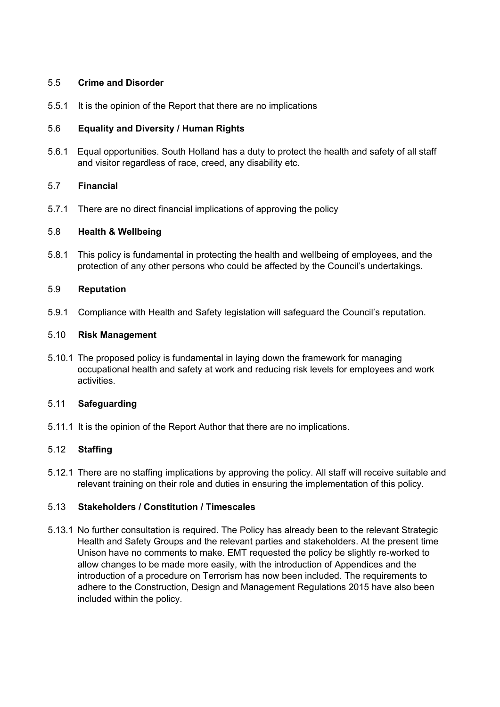## 5.5 **Crime and Disorder**

5.5.1 It is the opinion of the Report that there are no implications

# 5.6 **Equality and Diversity / Human Rights**

5.6.1 Equal opportunities. South Holland has a duty to protect the health and safety of all staff and visitor regardless of race, creed, any disability etc.

## 5.7 **Financial**

5.7.1 There are no direct financial implications of approving the policy

## 5.8 **Health & Wellbeing**

5.8.1 This policy is fundamental in protecting the health and wellbeing of employees, and the protection of any other persons who could be affected by the Council's undertakings.

## 5.9 **Reputation**

5.9.1 Compliance with Health and Safety legislation will safeguard the Council's reputation.

## 5.10 **Risk Management**

5.10.1 The proposed policy is fundamental in laying down the framework for managing occupational health and safety at work and reducing risk levels for employees and work activities.

## 5.11 **Safeguarding**

5.11.1 It is the opinion of the Report Author that there are no implications.

# 5.12 **Staffing**

5.12.1 There are no staffing implications by approving the policy. All staff will receive suitable and relevant training on their role and duties in ensuring the implementation of this policy.

## 5.13 **Stakeholders / Constitution / Timescales**

5.13.1 No further consultation is required. The Policy has already been to the relevant Strategic Health and Safety Groups and the relevant parties and stakeholders. At the present time Unison have no comments to make. EMT requested the policy be slightly re-worked to allow changes to be made more easily, with the introduction of Appendices and the introduction of a procedure on Terrorism has now been included. The requirements to adhere to the Construction, Design and Management Regulations 2015 have also been included within the policy.